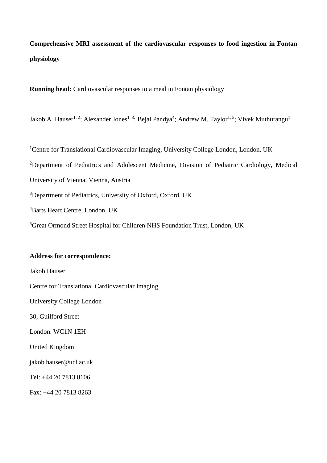**Comprehensive MRI assessment of the cardiovascular responses to food ingestion in Fontan physiology**

**Running head:** Cardiovascular responses to a meal in Fontan physiology

Jakob A. Hauser<sup>1, 2</sup>; Alexander Jones<sup>1, 3</sup>; Bejal Pandya<sup>4</sup>; Andrew M. Taylor<sup>1, 5</sup>; Vivek Muthurangu<sup>1</sup>

<sup>1</sup>Centre for Translational Cardiovascular Imaging, University College London, London, UK Department of Pediatrics and Adolescent Medicine, Division of Pediatric Cardiology, Medical University of Vienna, Vienna, Austria Department of Pediatrics, University of Oxford, Oxford, UK Barts Heart Centre, London, UK Great Ormond Street Hospital for Children NHS Foundation Trust, London, UK

### **Address for correspondence:**

Jakob Hauser Centre for Translational Cardiovascular Imaging University College London 30, Guilford Street London. WC1N 1EH United Kingdom jakob.hauser@ucl.ac.uk Tel: +44 20 7813 8106 Fax: +44 20 7813 8263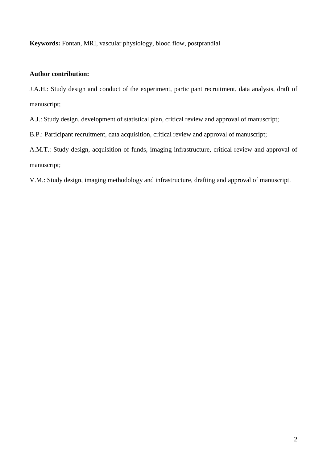**Keywords:** Fontan, MRI, vascular physiology, blood flow, postprandial

# **Author contribution:**

J.A.H.: Study design and conduct of the experiment, participant recruitment, data analysis, draft of manuscript;

A.J.: Study design, development of statistical plan, critical review and approval of manuscript;

B.P.: Participant recruitment, data acquisition, critical review and approval of manuscript;

A.M.T.: Study design, acquisition of funds, imaging infrastructure, critical review and approval of manuscript;

V.M.: Study design, imaging methodology and infrastructure, drafting and approval of manuscript.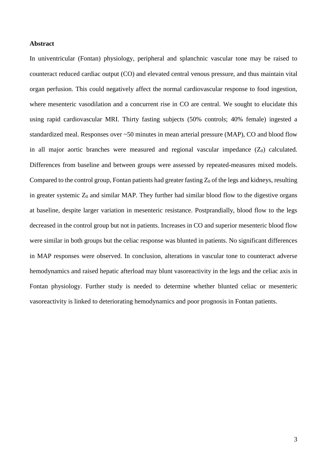#### **Abstract**

In univentricular (Fontan) physiology, peripheral and splanchnic vascular tone may be raised to counteract reduced cardiac output (CO) and elevated central venous pressure, and thus maintain vital organ perfusion. This could negatively affect the normal cardiovascular response to food ingestion, where mesenteric vasodilation and a concurrent rise in CO are central. We sought to elucidate this using rapid cardiovascular MRI. Thirty fasting subjects (50% controls; 40% female) ingested a standardized meal. Responses over ~50 minutes in mean arterial pressure (MAP), CO and blood flow in all major aortic branches were measured and regional vascular impedance  $(Z_0)$  calculated. Differences from baseline and between groups were assessed by repeated-measures mixed models. Compared to the control group, Fontan patients had greater fasting  $Z_0$  of the legs and kidneys, resulting in greater systemic  $Z_0$  and similar MAP. They further had similar blood flow to the digestive organs at baseline, despite larger variation in mesenteric resistance. Postprandially, blood flow to the legs decreased in the control group but not in patients. Increases in CO and superior mesenteric blood flow were similar in both groups but the celiac response was blunted in patients. No significant differences in MAP responses were observed. In conclusion, alterations in vascular tone to counteract adverse hemodynamics and raised hepatic afterload may blunt vasoreactivity in the legs and the celiac axis in Fontan physiology. Further study is needed to determine whether blunted celiac or mesenteric vasoreactivity is linked to deteriorating hemodynamics and poor prognosis in Fontan patients.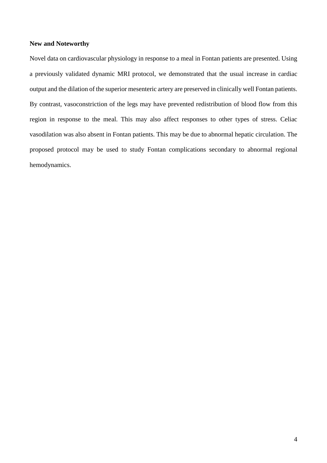## **New and Noteworthy**

Novel data on cardiovascular physiology in response to a meal in Fontan patients are presented. Using a previously validated dynamic MRI protocol, we demonstrated that the usual increase in cardiac output and the dilation of the superior mesenteric artery are preserved in clinically well Fontan patients. By contrast, vasoconstriction of the legs may have prevented redistribution of blood flow from this region in response to the meal. This may also affect responses to other types of stress. Celiac vasodilation was also absent in Fontan patients. This may be due to abnormal hepatic circulation. The proposed protocol may be used to study Fontan complications secondary to abnormal regional hemodynamics.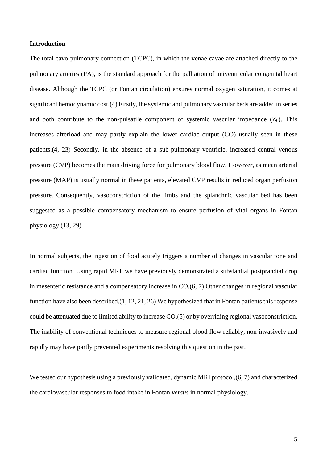# **Introduction**

The total cavo-pulmonary connection (TCPC), in which the venae cavae are attached directly to the pulmonary arteries (PA), is the standard approach for the palliation of univentricular congenital heart disease. Although the TCPC (or Fontan circulation) ensures normal oxygen saturation, it comes at significant hemodynamic cost.(4) Firstly, the systemic and pulmonary vascular beds are added in series and both contribute to the non-pulsatile component of systemic vascular impedance  $(Z_0)$ . This increases afterload and may partly explain the lower cardiac output (CO) usually seen in these patients.(4, 23) Secondly, in the absence of a sub-pulmonary ventricle, increased central venous pressure (CVP) becomes the main driving force for pulmonary blood flow. However, as mean arterial pressure (MAP) is usually normal in these patients, elevated CVP results in reduced organ perfusion pressure. Consequently, vasoconstriction of the limbs and the splanchnic vascular bed has been suggested as a possible compensatory mechanism to ensure perfusion of vital organs in Fontan physiology.(13, 29)

In normal subjects, the ingestion of food acutely triggers a number of changes in vascular tone and cardiac function. Using rapid MRI, we have previously demonstrated a substantial postprandial drop in mesenteric resistance and a compensatory increase in CO.(6, 7) Other changes in regional vascular function have also been described.(1, 12, 21, 26) We hypothesized that in Fontan patients this response could be attenuated due to limited ability to increase CO,(5) or by overriding regional vasoconstriction. The inability of conventional techniques to measure regional blood flow reliably, non-invasively and rapidly may have partly prevented experiments resolving this question in the past.

We tested our hypothesis using a previously validated, dynamic MRI protocol,  $(6, 7)$  and characterized the cardiovascular responses to food intake in Fontan *versus* in normal physiology.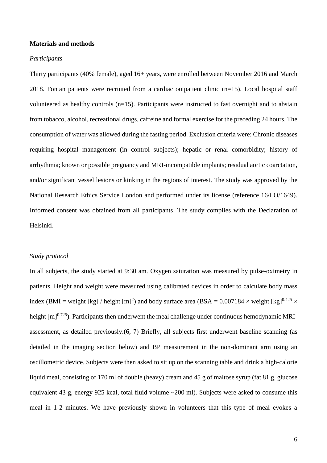#### **Materials and methods**

#### *Participants*

Thirty participants (40% female), aged 16+ years, were enrolled between November 2016 and March 2018. Fontan patients were recruited from a cardiac outpatient clinic (n=15). Local hospital staff volunteered as healthy controls (n=15). Participants were instructed to fast overnight and to abstain from tobacco, alcohol, recreational drugs, caffeine and formal exercise for the preceding 24 hours. The consumption of water was allowed during the fasting period. Exclusion criteria were: Chronic diseases requiring hospital management (in control subjects); hepatic or renal comorbidity; history of arrhythmia; known or possible pregnancy and MRI-incompatible implants; residual aortic coarctation, and/or significant vessel lesions or kinking in the regions of interest. The study was approved by the National Research Ethics Service London and performed under its license (reference 16/LO/1649). Informed consent was obtained from all participants. The study complies with the Declaration of Helsinki.

## *Study protocol*

In all subjects, the study started at 9:30 am. Oxygen saturation was measured by pulse-oximetry in patients. Height and weight were measured using calibrated devices in order to calculate body mass index (BMI = weight [kg] / height [m]<sup>2</sup>) and body surface area (BSA =  $0.007184 \times$  weight [kg]<sup>0.425</sup>  $\times$ height  $[m]^{0.725}$ ). Participants then underwent the meal challenge under continuous hemodynamic MRIassessment, as detailed previously.(6, 7) Briefly, all subjects first underwent baseline scanning (as detailed in the imaging section below) and BP measurement in the non-dominant arm using an oscillometric device. Subjects were then asked to sit up on the scanning table and drink a high-calorie liquid meal, consisting of 170 ml of double (heavy) cream and 45 g of maltose syrup (fat 81 g, glucose equivalent 43 g, energy 925 kcal, total fluid volume ~200 ml). Subjects were asked to consume this meal in 1-2 minutes. We have previously shown in volunteers that this type of meal evokes a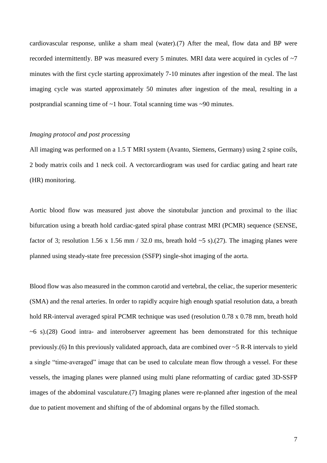cardiovascular response, unlike a sham meal (water).(7) After the meal, flow data and BP were recorded intermittently. BP was measured every 5 minutes. MRI data were acquired in cycles of  $\sim$ 7 minutes with the first cycle starting approximately 7-10 minutes after ingestion of the meal. The last imaging cycle was started approximately 50 minutes after ingestion of the meal, resulting in a postprandial scanning time of ~1 hour. Total scanning time was ~90 minutes.

#### *Imaging protocol and post processing*

All imaging was performed on a 1.5 T MRI system (Avanto, Siemens, Germany) using 2 spine coils, 2 body matrix coils and 1 neck coil. A vectorcardiogram was used for cardiac gating and heart rate (HR) monitoring.

Aortic blood flow was measured just above the sinotubular junction and proximal to the iliac bifurcation using a breath hold cardiac-gated spiral phase contrast MRI (PCMR) sequence (SENSE, factor of 3; resolution 1.56 x 1.56 mm / 32.0 ms, breath hold  $\sim$  5 s).(27). The imaging planes were planned using steady-state free precession (SSFP) single-shot imaging of the aorta.

Blood flow was also measured in the common carotid and vertebral, the celiac, the superior mesenteric (SMA) and the renal arteries. In order to rapidly acquire high enough spatial resolution data, a breath hold RR-interval averaged spiral PCMR technique was used (resolution 0.78 x 0.78 mm, breath hold ~6 s).(28) Good intra- and interobserver agreement has been demonstrated for this technique previously.(6) In this previously validated approach, data are combined over ~5 R-R intervals to yield a single "time-averaged" image that can be used to calculate mean flow through a vessel. For these vessels, the imaging planes were planned using multi plane reformatting of cardiac gated 3D-SSFP images of the abdominal vasculature.(7) Imaging planes were re-planned after ingestion of the meal due to patient movement and shifting of the of abdominal organs by the filled stomach.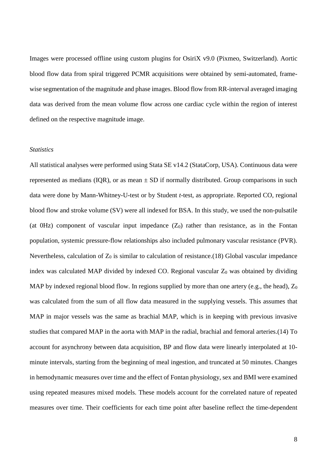Images were processed offline using custom plugins for OsiriX v9.0 (Pixmeo, Switzerland). Aortic blood flow data from spiral triggered PCMR acquisitions were obtained by semi-automated, framewise segmentation of the magnitude and phase images. Blood flow from RR-interval averaged imaging data was derived from the mean volume flow across one cardiac cycle within the region of interest defined on the respective magnitude image.

#### *Statistics*

All statistical analyses were performed using Stata SE v14.2 (StataCorp, USA). Continuous data were represented as medians (IQR), or as mean  $\pm$  SD if normally distributed. Group comparisons in such data were done by Mann-Whitney-U-test or by Student *t*-test, as appropriate. Reported CO, regional blood flow and stroke volume (SV) were all indexed for BSA. In this study, we used the non-pulsatile (at  $0Hz$ ) component of vascular input impedance  $(Z_0)$  rather than resistance, as in the Fontan population, systemic pressure-flow relationships also included pulmonary vascular resistance (PVR). Nevertheless, calculation of  $Z_0$  is similar to calculation of resistance.(18) Global vascular impedance index was calculated MAP divided by indexed CO. Regional vascular  $Z_0$  was obtained by dividing MAP by indexed regional blood flow. In regions supplied by more than one artery (e.g., the head),  $Z_0$ was calculated from the sum of all flow data measured in the supplying vessels. This assumes that MAP in major vessels was the same as brachial MAP, which is in keeping with previous invasive studies that compared MAP in the aorta with MAP in the radial, brachial and femoral arteries.(14) To account for asynchrony between data acquisition, BP and flow data were linearly interpolated at 10 minute intervals, starting from the beginning of meal ingestion, and truncated at 50 minutes. Changes in hemodynamic measures over time and the effect of Fontan physiology, sex and BMI were examined using repeated measures mixed models. These models account for the correlated nature of repeated measures over time. Their coefficients for each time point after baseline reflect the time-dependent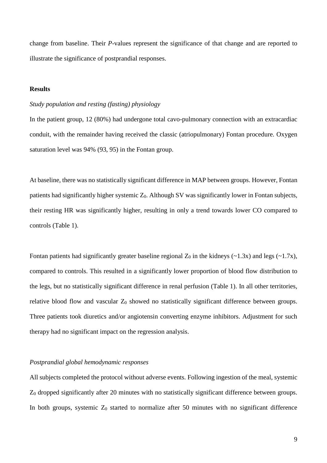change from baseline. Their *P-*values represent the significance of that change and are reported to illustrate the significance of postprandial responses.

# **Results**

## *Study population and resting (fasting) physiology*

In the patient group, 12 (80%) had undergone total cavo-pulmonary connection with an extracardiac conduit, with the remainder having received the classic (atriopulmonary) Fontan procedure. Oxygen saturation level was 94% (93, 95) in the Fontan group.

At baseline, there was no statistically significant difference in MAP between groups. However, Fontan patients had significantly higher systemic  $Z_0$ . Although SV was significantly lower in Fontan subjects, their resting HR was significantly higher, resulting in only a trend towards lower CO compared to controls (Table 1).

Fontan patients had significantly greater baseline regional  $Z_0$  in the kidneys (~1.3x) and legs (~1.7x), compared to controls. This resulted in a significantly lower proportion of blood flow distribution to the legs, but no statistically significant difference in renal perfusion (Table 1). In all other territories, relative blood flow and vascular  $Z_0$  showed no statistically significant difference between groups. Three patients took diuretics and/or angiotensin converting enzyme inhibitors. Adjustment for such therapy had no significant impact on the regression analysis.

#### *Postprandial global hemodynamic responses*

All subjects completed the protocol without adverse events. Following ingestion of the meal, systemic Z<sup>0</sup> dropped significantly after 20 minutes with no statistically significant difference between groups. In both groups, systemic  $Z_0$  started to normalize after 50 minutes with no significant difference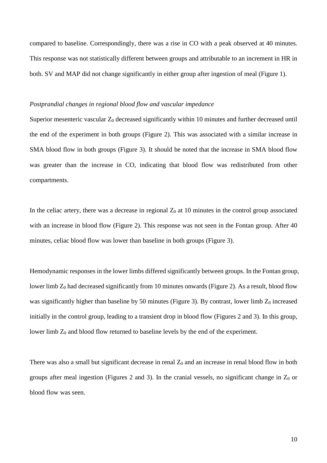compared to baseline. Correspondingly, there was a rise in CO with a peak observed at 40 minutes. This response was not statistically different between groups and attributable to an increment in HR in both. SV and MAP did not change significantly in either group after ingestion of meal (Figure 1).

#### *Postprandial changes in regional blood flow and vascular impedance*

Superior mesenteric vascular  $Z_0$  decreased significantly within 10 minutes and further decreased until the end of the experiment in both groups (Figure 2). This was associated with a similar increase in SMA blood flow in both groups (Figure 3). It should be noted that the increase in SMA blood flow was greater than the increase in CO, indicating that blood flow was redistributed from other compartments.

In the celiac artery, there was a decrease in regional  $Z_0$  at 10 minutes in the control group associated with an increase in blood flow (Figure 2). This response was not seen in the Fontan group. After 40 minutes, celiac blood flow was lower than baseline in both groups (Figure 3).

Hemodynamic responses in the lower limbs differed significantly between groups. In the Fontan group, lower limb  $Z_0$  had decreased significantly from 10 minutes onwards (Figure 2). As a result, blood flow was significantly higher than baseline by 50 minutes (Figure 3). By contrast, lower limb  $Z_0$  increased initially in the control group, leading to a transient drop in blood flow (Figures 2 and 3). In this group, lower limb  $Z_0$  and blood flow returned to baseline levels by the end of the experiment.

There was also a small but significant decrease in renal  $Z_0$  and an increase in renal blood flow in both groups after meal ingestion (Figures 2 and 3). In the cranial vessels, no significant change in  $Z_0$  or blood flow was seen.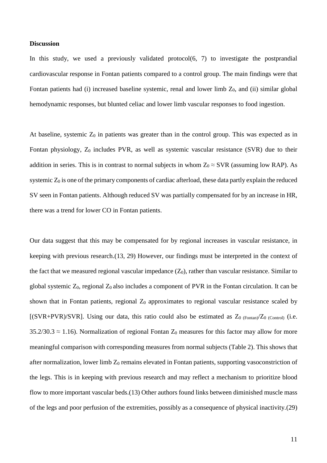#### **Discussion**

In this study, we used a previously validated protocol(6, 7) to investigate the postprandial cardiovascular response in Fontan patients compared to a control group. The main findings were that Fontan patients had (i) increased baseline systemic, renal and lower limb  $Z_0$ , and (ii) similar global hemodynamic responses, but blunted celiac and lower limb vascular responses to food ingestion.

At baseline, systemic  $Z_0$  in patients was greater than in the control group. This was expected as in Fontan physiology, Z<sub>0</sub> includes PVR, as well as systemic vascular resistance (SVR) due to their addition in series. This is in contrast to normal subjects in whom  $Z_0 \approx SVR$  (assuming low RAP). As systemic  $Z_0$  is one of the primary components of cardiac afterload, these data partly explain the reduced SV seen in Fontan patients. Although reduced SV was partially compensated for by an increase in HR, there was a trend for lower CO in Fontan patients.

Our data suggest that this may be compensated for by regional increases in vascular resistance, in keeping with previous research.(13, 29) However, our findings must be interpreted in the context of the fact that we measured regional vascular impedance  $(Z_0)$ , rather than vascular resistance. Similar to global systemic  $Z_0$ , regional  $Z_0$  also includes a component of PVR in the Fontan circulation. It can be shown that in Fontan patients, regional  $Z_0$  approximates to regional vascular resistance scaled by [(SVR+PVR)/SVR]. Using our data, this ratio could also be estimated as  $Z_0$  (Fontan) $Z_0$  (Control) (i.e.  $35.2/30.3 \approx 1.16$ ). Normalization of regional Fontan Z<sub>0</sub> measures for this factor may allow for more meaningful comparison with corresponding measures from normal subjects (Table 2). This shows that after normalization, lower limb  $Z_0$  remains elevated in Fontan patients, supporting vasoconstriction of the legs. This is in keeping with previous research and may reflect a mechanism to prioritize blood flow to more important vascular beds.(13) Other authors found links between diminished muscle mass of the legs and poor perfusion of the extremities, possibly as a consequence of physical inactivity.(29)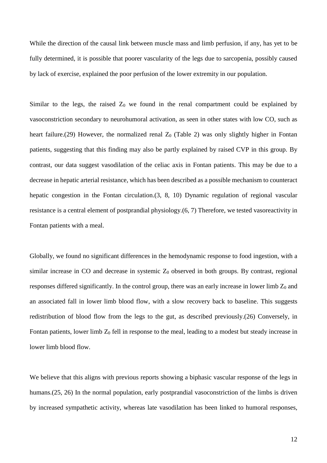While the direction of the causal link between muscle mass and limb perfusion, if any, has yet to be fully determined, it is possible that poorer vascularity of the legs due to sarcopenia, possibly caused by lack of exercise, explained the poor perfusion of the lower extremity in our population.

Similar to the legs, the raised  $Z_0$  we found in the renal compartment could be explained by vasoconstriction secondary to neurohumoral activation, as seen in other states with low CO, such as heart failure.(29) However, the normalized renal  $Z_0$  (Table 2) was only slightly higher in Fontan patients, suggesting that this finding may also be partly explained by raised CVP in this group. By contrast, our data suggest vasodilation of the celiac axis in Fontan patients. This may be due to a decrease in hepatic arterial resistance, which has been described as a possible mechanism to counteract hepatic congestion in the Fontan circulation.(3, 8, 10) Dynamic regulation of regional vascular resistance is a central element of postprandial physiology.(6, 7) Therefore, we tested vasoreactivity in Fontan patients with a meal.

Globally, we found no significant differences in the hemodynamic response to food ingestion, with a similar increase in CO and decrease in systemic  $Z_0$  observed in both groups. By contrast, regional responses differed significantly. In the control group, there was an early increase in lower limb  $Z_0$  and an associated fall in lower limb blood flow, with a slow recovery back to baseline. This suggests redistribution of blood flow from the legs to the gut, as described previously.(26) Conversely, in Fontan patients, lower limb  $Z_0$  fell in response to the meal, leading to a modest but steady increase in lower limb blood flow.

We believe that this aligns with previous reports showing a biphasic vascular response of the legs in humans.(25, 26) In the normal population, early postprandial vasoconstriction of the limbs is driven by increased sympathetic activity, whereas late vasodilation has been linked to humoral responses,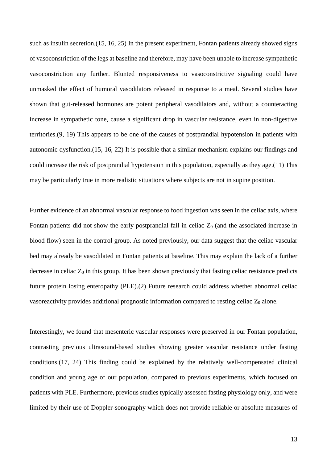such as insulin secretion.(15, 16, 25) In the present experiment, Fontan patients already showed signs of vasoconstriction of the legs at baseline and therefore, may have been unable to increase sympathetic vasoconstriction any further. Blunted responsiveness to vasoconstrictive signaling could have unmasked the effect of humoral vasodilators released in response to a meal. Several studies have shown that gut-released hormones are potent peripheral vasodilators and, without a counteracting increase in sympathetic tone, cause a significant drop in vascular resistance, even in non-digestive territories.(9, 19) This appears to be one of the causes of postprandial hypotension in patients with autonomic dysfunction.(15, 16, 22) It is possible that a similar mechanism explains our findings and could increase the risk of postprandial hypotension in this population, especially as they age.(11) This may be particularly true in more realistic situations where subjects are not in supine position.

Further evidence of an abnormal vascular response to food ingestion was seen in the celiac axis, where Fontan patients did not show the early postprandial fall in celiac  $Z_0$  (and the associated increase in blood flow) seen in the control group. As noted previously, our data suggest that the celiac vascular bed may already be vasodilated in Fontan patients at baseline. This may explain the lack of a further decrease in celiac  $Z_0$  in this group. It has been shown previously that fasting celiac resistance predicts future protein losing enteropathy (PLE).(2) Future research could address whether abnormal celiac vasore activity provides additional prognostic information compared to resting celiac  $Z_0$  alone.

Interestingly, we found that mesenteric vascular responses were preserved in our Fontan population, contrasting previous ultrasound-based studies showing greater vascular resistance under fasting conditions.(17, 24) This finding could be explained by the relatively well-compensated clinical condition and young age of our population, compared to previous experiments, which focused on patients with PLE. Furthermore, previous studies typically assessed fasting physiology only, and were limited by their use of Doppler-sonography which does not provide reliable or absolute measures of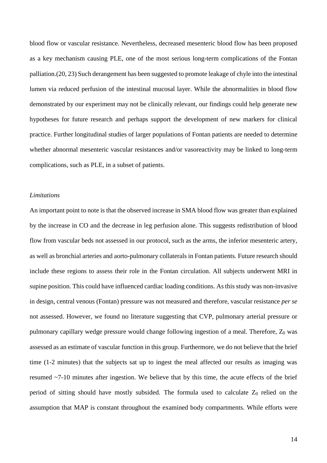blood flow or vascular resistance. Nevertheless, decreased mesenteric blood flow has been proposed as a key mechanism causing PLE, one of the most serious long-term complications of the Fontan palliation.(20, 23) Such derangement has been suggested to promote leakage of chyle into the intestinal lumen via reduced perfusion of the intestinal mucosal layer. While the abnormalities in blood flow demonstrated by our experiment may not be clinically relevant, our findings could help generate new hypotheses for future research and perhaps support the development of new markers for clinical practice. Further longitudinal studies of larger populations of Fontan patients are needed to determine whether abnormal mesenteric vascular resistances and/or vasoreactivity may be linked to long-term complications, such as PLE, in a subset of patients.

#### *Limitations*

An important point to note is that the observed increase in SMA blood flow was greater than explained by the increase in CO and the decrease in leg perfusion alone. This suggests redistribution of blood flow from vascular beds not assessed in our protocol, such as the arms, the inferior mesenteric artery, as well as bronchial arteries and aorto-pulmonary collaterals in Fontan patients. Future research should include these regions to assess their role in the Fontan circulation. All subjects underwent MRI in supine position. This could have influenced cardiac loading conditions. As this study was non-invasive in design, central venous (Fontan) pressure was not measured and therefore, vascular resistance *per se* not assessed. However, we found no literature suggesting that CVP, pulmonary arterial pressure or pulmonary capillary wedge pressure would change following ingestion of a meal. Therefore,  $Z_0$  was assessed as an estimate of vascular function in this group. Furthermore, we do not believe that the brief time (1-2 minutes) that the subjects sat up to ingest the meal affected our results as imaging was resumed ~7-10 minutes after ingestion. We believe that by this time, the acute effects of the brief period of sitting should have mostly subsided. The formula used to calculate  $Z_0$  relied on the assumption that MAP is constant throughout the examined body compartments. While efforts were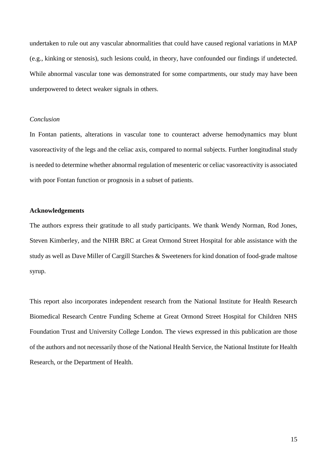undertaken to rule out any vascular abnormalities that could have caused regional variations in MAP (e.g., kinking or stenosis), such lesions could, in theory, have confounded our findings if undetected. While abnormal vascular tone was demonstrated for some compartments, our study may have been underpowered to detect weaker signals in others.

# *Conclusion*

In Fontan patients, alterations in vascular tone to counteract adverse hemodynamics may blunt vasoreactivity of the legs and the celiac axis, compared to normal subjects. Further longitudinal study is needed to determine whether abnormal regulation of mesenteric or celiac vasoreactivity is associated with poor Fontan function or prognosis in a subset of patients.

# **Acknowledgements**

The authors express their gratitude to all study participants. We thank Wendy Norman, Rod Jones, Steven Kimberley, and the NIHR BRC at Great Ormond Street Hospital for able assistance with the study as well as Dave Miller of Cargill Starches & Sweeteners for kind donation of food-grade maltose syrup.

This report also incorporates independent research from the National Institute for Health Research Biomedical Research Centre Funding Scheme at Great Ormond Street Hospital for Children NHS Foundation Trust and University College London. The views expressed in this publication are those of the authors and not necessarily those of the National Health Service, the National Institute for Health Research, or the Department of Health.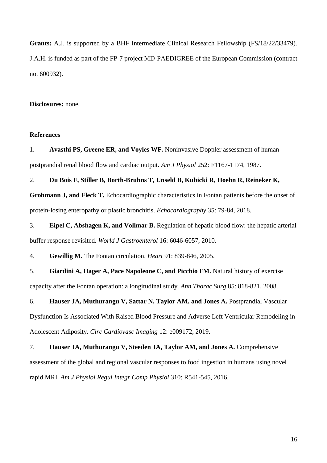**Grants:** A.J. is supported by a BHF Intermediate Clinical Research Fellowship (FS/18/22/33479). J.A.H. is funded as part of the FP-7 project MD-PAEDIGREE of the European Commission (contract no. 600932).

**Disclosures:** none.

#### **References**

1. **Avasthi PS, Greene ER, and Voyles WF.** Noninvasive Doppler assessment of human postprandial renal blood flow and cardiac output. *Am J Physiol* 252: F1167-1174, 1987.

2. **Du Bois F, Stiller B, Borth-Bruhns T, Unseld B, Kubicki R, Hoehn R, Reineker K,** 

**Grohmann J, and Fleck T.** Echocardiographic characteristics in Fontan patients before the onset of protein-losing enteropathy or plastic bronchitis. *Echocardiography* 35: 79-84, 2018.

3. **Eipel C, Abshagen K, and Vollmar B.** Regulation of hepatic blood flow: the hepatic arterial buffer response revisited. *World J Gastroenterol* 16: 6046-6057, 2010.

4. **Gewillig M.** The Fontan circulation. *Heart* 91: 839-846, 2005.

5. **Giardini A, Hager A, Pace Napoleone C, and Picchio FM.** Natural history of exercise capacity after the Fontan operation: a longitudinal study. *Ann Thorac Surg* 85: 818-821, 2008.

6. **Hauser JA, Muthurangu V, Sattar N, Taylor AM, and Jones A.** Postprandial Vascular Dysfunction Is Associated With Raised Blood Pressure and Adverse Left Ventricular Remodeling in Adolescent Adiposity. *Circ Cardiovasc Imaging* 12: e009172, 2019.

7. **Hauser JA, Muthurangu V, Steeden JA, Taylor AM, and Jones A.** Comprehensive assessment of the global and regional vascular responses to food ingestion in humans using novel rapid MRI. *Am J Physiol Regul Integr Comp Physiol* 310: R541-545, 2016.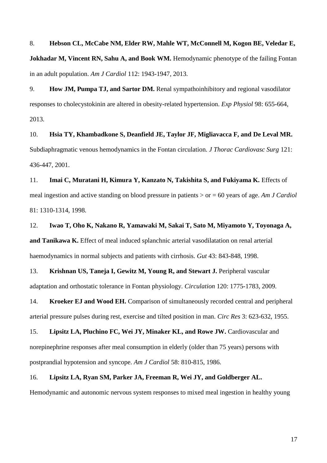8. **Hebson CL, McCabe NM, Elder RW, Mahle WT, McConnell M, Kogon BE, Veledar E, Jokhadar M, Vincent RN, Sahu A, and Book WM.** Hemodynamic phenotype of the failing Fontan in an adult population. *Am J Cardiol* 112: 1943-1947, 2013.

9. **How JM, Pumpa TJ, and Sartor DM.** Renal sympathoinhibitory and regional vasodilator responses to cholecystokinin are altered in obesity-related hypertension. *Exp Physiol* 98: 655-664, 2013.

10. **Hsia TY, Khambadkone S, Deanfield JE, Taylor JF, Migliavacca F, and De Leval MR.** Subdiaphragmatic venous hemodynamics in the Fontan circulation. *J Thorac Cardiovasc Surg* 121: 436-447, 2001.

11. **Imai C, Muratani H, Kimura Y, Kanzato N, Takishita S, and Fukiyama K.** Effects of meal ingestion and active standing on blood pressure in patients > or = 60 years of age. *Am J Cardiol* 81: 1310-1314, 1998.

12. **Iwao T, Oho K, Nakano R, Yamawaki M, Sakai T, Sato M, Miyamoto Y, Toyonaga A, and Tanikawa K.** Effect of meal induced splanchnic arterial vasodilatation on renal arterial haemodynamics in normal subjects and patients with cirrhosis. *Gut* 43: 843-848, 1998.

13. **Krishnan US, Taneja I, Gewitz M, Young R, and Stewart J.** Peripheral vascular adaptation and orthostatic tolerance in Fontan physiology. *Circulation* 120: 1775-1783, 2009.

14. **Kroeker EJ and Wood EH.** Comparison of simultaneously recorded central and peripheral arterial pressure pulses during rest, exercise and tilted position in man. *Circ Res* 3: 623-632, 1955.

15. **Lipsitz LA, Pluchino FC, Wei JY, Minaker KL, and Rowe JW.** Cardiovascular and norepinephrine responses after meal consumption in elderly (older than 75 years) persons with postprandial hypotension and syncope. *Am J Cardiol* 58: 810-815, 1986.

16. **Lipsitz LA, Ryan SM, Parker JA, Freeman R, Wei JY, and Goldberger AL.** Hemodynamic and autonomic nervous system responses to mixed meal ingestion in healthy young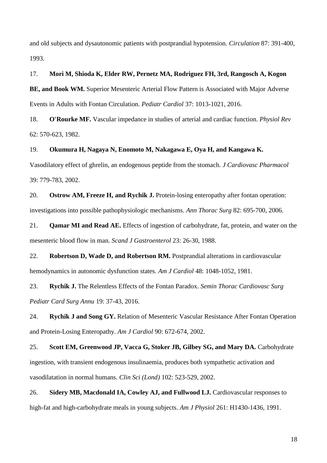and old subjects and dysautonomic patients with postprandial hypotension. *Circulation* 87: 391-400, 1993.

### 17. **Mori M, Shioda K, Elder RW, Pernetz MA, Rodriguez FH, 3rd, Rangosch A, Kogon**

**BE, and Book WM.** Superior Mesenteric Arterial Flow Pattern is Associated with Major Adverse Events in Adults with Fontan Circulation. *Pediatr Cardiol* 37: 1013-1021, 2016.

18. **O'Rourke MF.** Vascular impedance in studies of arterial and cardiac function. *Physiol Rev* 62: 570-623, 1982.

## 19. **Okumura H, Nagaya N, Enomoto M, Nakagawa E, Oya H, and Kangawa K.**

Vasodilatory effect of ghrelin, an endogenous peptide from the stomach. *J Cardiovasc Pharmacol* 39: 779-783, 2002.

20. **Ostrow AM, Freeze H, and Rychik J.** Protein-losing enteropathy after fontan operation: investigations into possible pathophysiologic mechanisms. *Ann Thorac Surg* 82: 695-700, 2006.

21. **Qamar MI and Read AE.** Effects of ingestion of carbohydrate, fat, protein, and water on the mesenteric blood flow in man. *Scand J Gastroenterol* 23: 26-30, 1988.

22. **Robertson D, Wade D, and Robertson RM.** Postprandial alterations in cardiovascular hemodynamics in autonomic dysfunction states. *Am J Cardiol* 48: 1048-1052, 1981.

23. **Rychik J.** The Relentless Effects of the Fontan Paradox. *Semin Thorac Cardiovasc Surg Pediatr Card Surg Annu* 19: 37-43, 2016.

24. **Rychik J and Song GY.** Relation of Mesenteric Vascular Resistance After Fontan Operation and Protein-Losing Enteropathy. *Am J Cardiol* 90: 672-674, 2002.

25. **Scott EM, Greenwood JP, Vacca G, Stoker JB, Gilbey SG, and Mary DA.** Carbohydrate ingestion, with transient endogenous insulinaemia, produces both sympathetic activation and vasodilatation in normal humans. *Clin Sci (Lond)* 102: 523-529, 2002.

26. **Sidery MB, Macdonald IA, Cowley AJ, and Fullwood LJ.** Cardiovascular responses to high-fat and high-carbohydrate meals in young subjects. *Am J Physiol* 261: H1430-1436, 1991.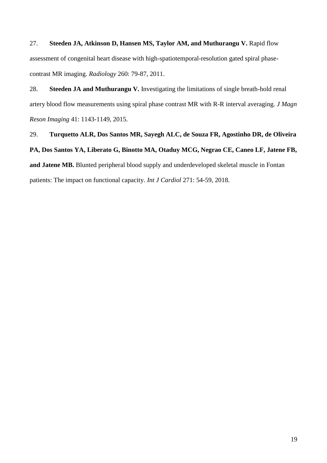27. **Steeden JA, Atkinson D, Hansen MS, Taylor AM, and Muthurangu V.** Rapid flow assessment of congenital heart disease with high-spatiotemporal-resolution gated spiral phasecontrast MR imaging. *Radiology* 260: 79-87, 2011.

28. **Steeden JA and Muthurangu V.** Investigating the limitations of single breath-hold renal artery blood flow measurements using spiral phase contrast MR with R-R interval averaging. *J Magn Reson Imaging* 41: 1143-1149, 2015.

29. **Turquetto ALR, Dos Santos MR, Sayegh ALC, de Souza FR, Agostinho DR, de Oliveira** 

**PA, Dos Santos YA, Liberato G, Binotto MA, Otaduy MCG, Negrao CE, Caneo LF, Jatene FB,** 

**and Jatene MB.** Blunted peripheral blood supply and underdeveloped skeletal muscle in Fontan patients: The impact on functional capacity. *Int J Cardiol* 271: 54-59, 2018.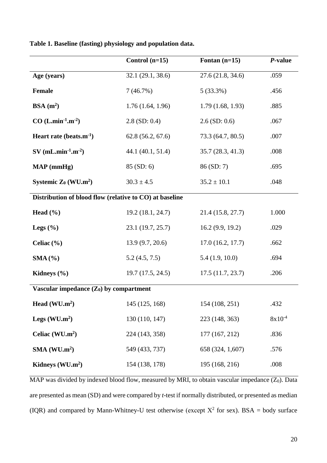|                                                         | Control $(n=15)$  | Fontan $(n=15)$   | P-value     |  |
|---------------------------------------------------------|-------------------|-------------------|-------------|--|
| Age (years)                                             | 32.1 (29.1, 38.6) | 27.6(21.8, 34.6)  | .059        |  |
| <b>Female</b>                                           | 7(46.7%)          | $5(33.3\%)$       | .456        |  |
| $BSA(m^2)$                                              | 1.76(1.64, 1.96)  | 1.79(1.68, 1.93)  | .885        |  |
| $CO$ (L.min <sup>-1</sup> .m <sup>-2</sup> )            | $2.8$ (SD: 0.4)   | $2.6$ (SD: 0.6)   | .067        |  |
| Heart rate (beats.m <sup>-1</sup> )                     | 62.8(56.2, 67.6)  | 73.3 (64.7, 80.5) | .007        |  |
| $SV$ (mL.min <sup>-1</sup> .m <sup>-2</sup> )           | 44.1 (40.1, 51.4) | 35.7(28.3, 41.3)  | .008        |  |
| $MAP$ (mmHg)                                            | 85 (SD: 6)        | 86 (SD: 7)        | .695        |  |
| Systemic $Z_0$ (WU.m <sup>2</sup> )                     | $30.3 \pm 4.5$    | $35.2 \pm 10.1$   | .048        |  |
| Distribution of blood flow (relative to CO) at baseline |                   |                   |             |  |
| Head $(\% )$                                            | 19.2 (18.1, 24.7) | 21.4 (15.8, 27.7) | 1.000       |  |
| Legs $(\% )$                                            | 23.1 (19.7, 25.7) | 16.2(9.9, 19.2)   | .029        |  |
| Celiac $(\% )$                                          | 13.9 (9.7, 20.6)  | 17.0(16.2, 17.7)  | .662        |  |
| SMA (%)                                                 | 5.2(4.5, 7.5)     | 5.4(1.9, 10.0)    | .694        |  |
| Kidneys $(\% )$                                         | 19.7(17.5, 24.5)  | 17.5(11.7, 23.7)  | .206        |  |
| Vascular impedance $(Z_0)$ by compartment               |                   |                   |             |  |
| Head (WU.m <sup>2</sup> )                               | 145 (125, 168)    | 154 (108, 251)    | .432        |  |
| Legs $(WU.m2)$                                          | 130 (110, 147)    | 223 (148, 363)    | $8x10^{-4}$ |  |
| Celiac $(WU.m^2)$                                       | 224 (143, 358)    | 177 (167, 212)    | .836        |  |
| SMA (WU.m <sup>2</sup> )                                | 549 (433, 737)    | 658 (324, 1,607)  | .576        |  |
| Kidneys (WU.m <sup>2</sup> )                            | 154 (138, 178)    | 195 (168, 216)    | .008        |  |

**Table 1. Baseline (fasting) physiology and population data.**

MAP was divided by indexed blood flow, measured by MRI, to obtain vascular impedance  $(Z_0)$ . Data are presented as mean (SD) and were compared by *t*-test if normally distributed, or presented as median (IQR) and compared by Mann-Whitney-U test otherwise (except  $X^2$  for sex). BSA = body surface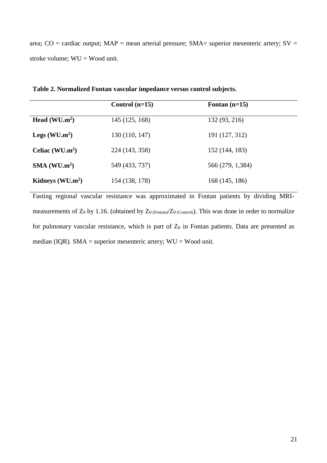area;  $CO =$  cardiac output;  $MAP =$  mean arterial pressure;  $SMA =$  superior mesenteric artery;  $SV =$ stroke volume; WU = Wood unit.

|                          | Control $(n=15)$ | Fontan $(n=15)$  |  |
|--------------------------|------------------|------------------|--|
| Head $(WU.m2)$           | 145 (125, 168)   | 132 (93, 216)    |  |
| Legs $(WU.m2)$           | 130 (110, 147)   | 191 (127, 312)   |  |
| Celiac $(WU.m2)$         | 224 (143, 358)   | 152 (144, 183)   |  |
| SMA (WU.m <sup>2</sup> ) | 549 (433, 737)   | 566 (279, 1,384) |  |
| Kidneys $(WU.m2)$        | 154 (138, 178)   | 168 (145, 186)   |  |

**Table 2. Normalized Fontan vascular impedance versus control subjects.**

Fasting regional vascular resistance was approximated in Fontan patients by dividing MRImeasurements of  $Z_0$  by 1.16. (obtained by  $Z_{0 \text{ (Fontan)}}/Z_{0 \text{ (Control)}}$ ). This was done in order to normalize for pulmonary vascular resistance, which is part of  $Z_0$  in Fontan patients. Data are presented as median (IQR). SMA = superior mesenteric artery; WU = Wood unit.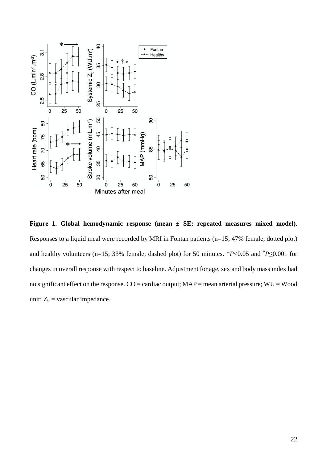

**Figure 1. Global hemodynamic response (mean ± SE; repeated measures mixed model).** Responses to a liquid meal were recorded by MRI in Fontan patients (n=15; 47% female; dotted plot) and healthy volunteers (n=15; 33% female; dashed plot) for 50 minutes. \**P*<0.05 and †*P*≤0.001 for changes in overall response with respect to baseline. Adjustment for age, sex and body mass index had no significant effect on the response. CO = cardiac output; MAP = mean arterial pressure; WU = Wood unit;  $Z_0$  = vascular impedance.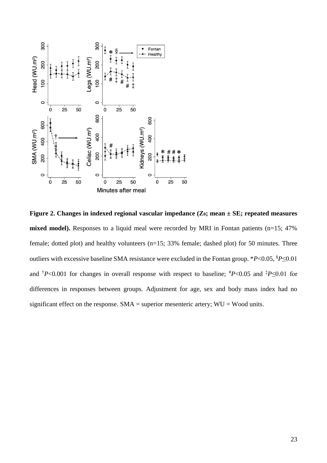

**Figure 2. Changes in indexed regional vascular impedance (Z0; mean ± SE; repeated measures**  mixed model). Responses to a liquid meal were recorded by MRI in Fontan patients (n=15; 47%) female; dotted plot) and healthy volunteers (n=15; 33% female; dashed plot) for 50 minutes. Three outliers with excessive baseline SMA resistance were excluded in the Fontan group. \**P*<0.05, §*P*≤0.01 and <sup>†</sup>*P*<0.001 for changes in overall response with respect to baseline;  $^{*}P$ <0.05 and  $^{*}P \le 0.01$  for differences in responses between groups. Adjustment for age, sex and body mass index had no significant effect on the response.  $SMA =$  superior mesenteric artery;  $WU =$  Wood units.